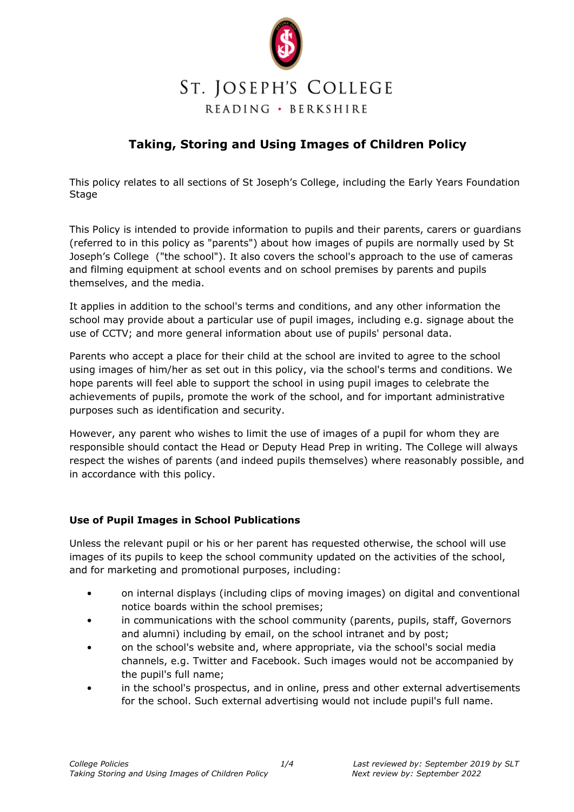

# **Taking, Storing and Using Images of Children Policy**

This policy relates to all sections of St Joseph's College, including the Early Years Foundation Stage

This Policy is intended to provide information to pupils and their parents, carers or guardians (referred to in this policy as "parents") about how images of pupils are normally used by St Joseph's College ("the school"). It also covers the school's approach to the use of cameras and filming equipment at school events and on school premises by parents and pupils themselves, and the media.

It applies in addition to the school's terms and conditions, and any other information the school may provide about a particular use of pupil images, including e.g. signage about the use of CCTV; and more general information about use of pupils' personal data.

Parents who accept a place for their child at the school are invited to agree to the school using images of him/her as set out in this policy, via the school's terms and conditions. We hope parents will feel able to support the school in using pupil images to celebrate the achievements of pupils, promote the work of the school, and for important administrative purposes such as identification and security.

However, any parent who wishes to limit the use of images of a pupil for whom they are responsible should contact the Head or Deputy Head Prep in writing. The College will always respect the wishes of parents (and indeed pupils themselves) where reasonably possible, and in accordance with this policy.

# **Use of Pupil Images in School Publications**

Unless the relevant pupil or his or her parent has requested otherwise, the school will use images of its pupils to keep the school community updated on the activities of the school, and for marketing and promotional purposes, including:

- on internal displays (including clips of moving images) on digital and conventional notice boards within the school premises;
- in communications with the school community (parents, pupils, staff, Governors and alumni) including by email, on the school intranet and by post;
- on the school's website and, where appropriate, via the school's social media channels, e.g. Twitter and Facebook. Such images would not be accompanied by the pupil's full name;
- in the school's prospectus, and in online, press and other external advertisements for the school. Such external advertising would not include pupil's full name.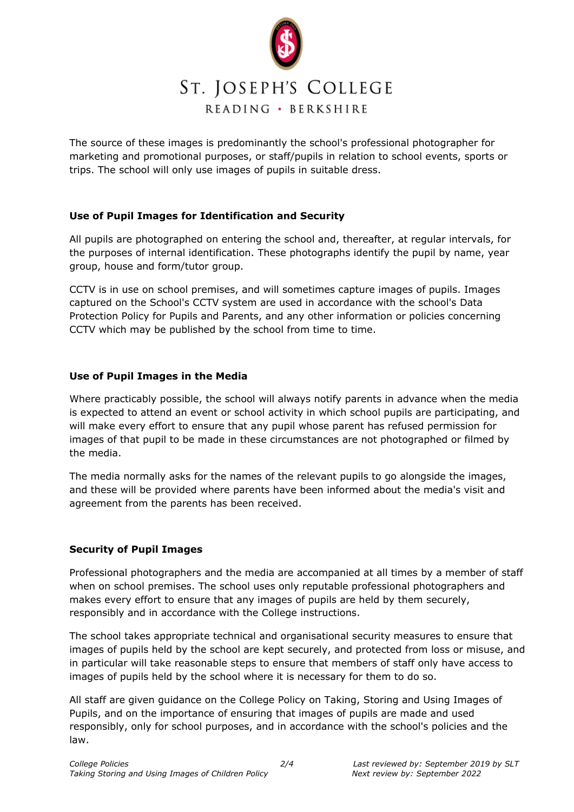

The source of these images is predominantly the school's professional photographer for marketing and promotional purposes, or staff/pupils in relation to school events, sports or trips. The school will only use images of pupils in suitable dress.

## **Use of Pupil Images for Identification and Security**

All pupils are photographed on entering the school and, thereafter, at regular intervals, for the purposes of internal identification. These photographs identify the pupil by name, year group, house and form/tutor group.

CCTV is in use on school premises, and will sometimes capture images of pupils. Images captured on the School's CCTV system are used in accordance with the school's Data Protection Policy for Pupils and Parents, and any other information or policies concerning CCTV which may be published by the school from time to time.

## **Use of Pupil Images in the Media**

Where practicably possible, the school will always notify parents in advance when the media is expected to attend an event or school activity in which school pupils are participating, and will make every effort to ensure that any pupil whose parent has refused permission for images of that pupil to be made in these circumstances are not photographed or filmed by the media.

The media normally asks for the names of the relevant pupils to go alongside the images, and these will be provided where parents have been informed about the media's visit and agreement from the parents has been received.

#### **Security of Pupil Images**

Professional photographers and the media are accompanied at all times by a member of staff when on school premises. The school uses only reputable professional photographers and makes every effort to ensure that any images of pupils are held by them securely, responsibly and in accordance with the College instructions.

The school takes appropriate technical and organisational security measures to ensure that images of pupils held by the school are kept securely, and protected from loss or misuse, and in particular will take reasonable steps to ensure that members of staff only have access to images of pupils held by the school where it is necessary for them to do so.

All staff are given guidance on the College Policy on Taking, Storing and Using Images of Pupils, and on the importance of ensuring that images of pupils are made and used responsibly, only for school purposes, and in accordance with the school's policies and the law.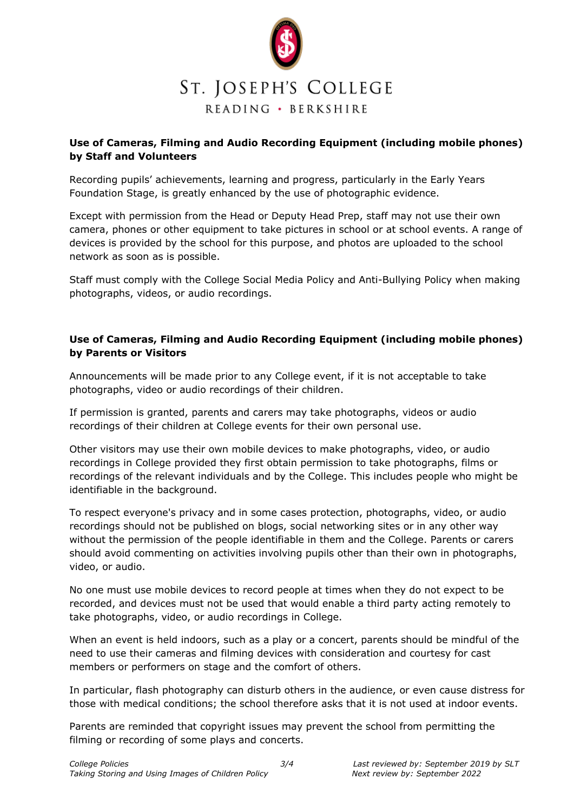

# **Use of Cameras, Filming and Audio Recording Equipment (including mobile phones) by Staff and Volunteers**

Recording pupils' achievements, learning and progress, particularly in the Early Years Foundation Stage, is greatly enhanced by the use of photographic evidence.

Except with permission from the Head or Deputy Head Prep, staff may not use their own camera, phones or other equipment to take pictures in school or at school events. A range of devices is provided by the school for this purpose, and photos are uploaded to the school network as soon as is possible.

Staff must comply with the College Social Media Policy and Anti-Bullying Policy when making photographs, videos, or audio recordings.

# **Use of Cameras, Filming and Audio Recording Equipment (including mobile phones) by Parents or Visitors**

Announcements will be made prior to any College event, if it is not acceptable to take photographs, video or audio recordings of their children.

If permission is granted, parents and carers may take photographs, videos or audio recordings of their children at College events for their own personal use.

Other visitors may use their own mobile devices to make photographs, video, or audio recordings in College provided they first obtain permission to take photographs, films or recordings of the relevant individuals and by the College. This includes people who might be identifiable in the background.

To respect everyone's privacy and in some cases protection, photographs, video, or audio recordings should not be published on blogs, social networking sites or in any other way without the permission of the people identifiable in them and the College. Parents or carers should avoid commenting on activities involving pupils other than their own in photographs, video, or audio.

No one must use mobile devices to record people at times when they do not expect to be recorded, and devices must not be used that would enable a third party acting remotely to take photographs, video, or audio recordings in College.

When an event is held indoors, such as a play or a concert, parents should be mindful of the need to use their cameras and filming devices with consideration and courtesy for cast members or performers on stage and the comfort of others.

In particular, flash photography can disturb others in the audience, or even cause distress for those with medical conditions; the school therefore asks that it is not used at indoor events.

Parents are reminded that copyright issues may prevent the school from permitting the filming or recording of some plays and concerts.